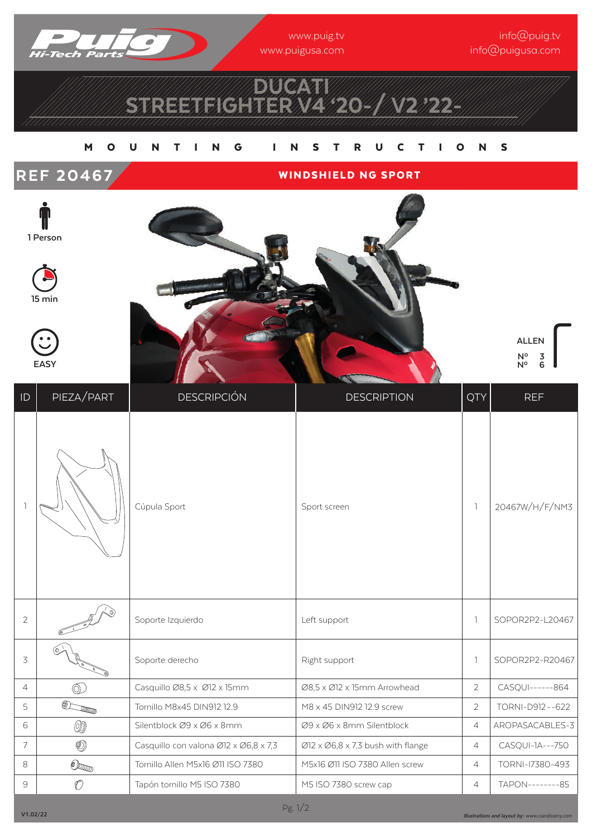

www.puig.tv www.puigusa.com

info@puig.tv info@puigusa.com

## DUCATI STREETFIGHTER V4 '20-/ V2' 22-

## M O U N T I N G I N S T R U C T I O N S







**EASY**



**ALLEN Nº 2,3**  $N^{\circ}$  6

| $\mathsf{ID}$  | PIEZA/PART                                                                                                                                                                                                                                                                                                                                                                                                                  | <b>DESCRIPCIÓN</b>                    | <b>DESCRIPTION</b>                                          | QTY            | <b>REF</b>       |
|----------------|-----------------------------------------------------------------------------------------------------------------------------------------------------------------------------------------------------------------------------------------------------------------------------------------------------------------------------------------------------------------------------------------------------------------------------|---------------------------------------|-------------------------------------------------------------|----------------|------------------|
|                |                                                                                                                                                                                                                                                                                                                                                                                                                             | Cúpula Sport                          | Sport screen                                                | 1              | 20467W/H/F/NM3   |
| $\overline{2}$ |                                                                                                                                                                                                                                                                                                                                                                                                                             | Soporte Izquierdo                     | Left support                                                | $\mathbb{I}$   | SOPOR2P2-L20467  |
| 3              |                                                                                                                                                                                                                                                                                                                                                                                                                             | Soporte derecho                       | Right support                                               | 1              | SOPOR2P2-R20467  |
| 4              | $\circledcirc$                                                                                                                                                                                                                                                                                                                                                                                                              | Casquillo Ø8,5 x Ø12 x 15mm           | Ø8,5 x Ø12 x 15mm Arrowhead                                 | $\overline{2}$ | CASQUI------864  |
| 5              | $\begin{picture}(20,20) \put(0,0){\dashbox{0.5}(5,0){ }} \thicklines \put(0,0){\dashbox{0.5}(5,0){ }} \thicklines \put(0,0){\dashbox{0.5}(5,0){ }} \thicklines \put(0,0){\dashbox{0.5}(5,0){ }} \thicklines \put(0,0){\dashbox{0.5}(5,0){ }} \thicklines \put(0,0){\dashbox{0.5}(5,0){ }} \thicklines \put(0,0){\dashbox{0.5}(5,0){ }} \thicklines \put(0,0){\dashbox{0.5}(5,0){ }} \thicklines \put(0,0){\dashbox{0.5}(5,$ | Tornillo M8x45 DIN912 12.9            | M8 x 45 DIN912 12.9 screw                                   | $\overline{2}$ | TORNI-D912--622  |
| 6              | ◎                                                                                                                                                                                                                                                                                                                                                                                                                           | Silentblock Ø9 x Ø6 x 8mm             | Ø9 x Ø6 x 8mm Silentblock                                   | $\overline{4}$ | AROPASACABLES-3  |
| 7              | ◉                                                                                                                                                                                                                                                                                                                                                                                                                           | Casquillo con valona Ø12 x Ø6,8 x 7,3 | $\varnothing$ 12 x $\varnothing$ 6,8 x 7,3 bush with flange | $\overline{4}$ | CASQUI-1A---750  |
| 8              | $\circledcirc$                                                                                                                                                                                                                                                                                                                                                                                                              | Tornillo Allen M5x16 Ø11 ISO 7380     | M5x16 Ø11 ISO 7380 Allen screw                              | $\overline{4}$ | TORNI-17380-493  |
| 9              | O                                                                                                                                                                                                                                                                                                                                                                                                                           | Tapón tornillo M5 ISO 7380            | M5 ISO 7380 screw cap                                       | $\overline{4}$ | TAPON---------85 |